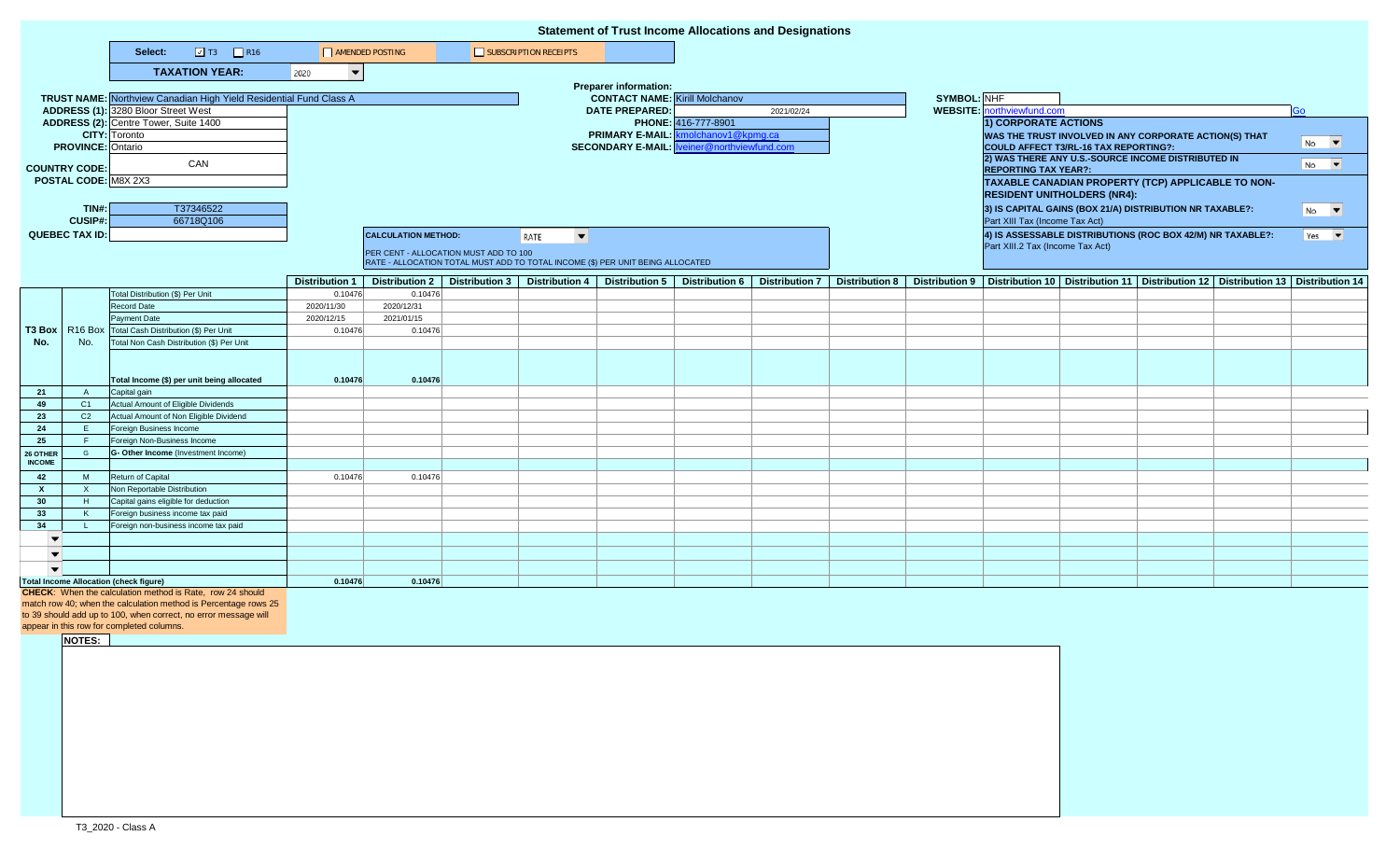|                                                                 |                      |                                                                           |                                  |                                       |  |                                                                                | <b>Statement of Trust Income Allocations and Designations</b> |                                     |            |  |                                                                                            |                                                                                                                |                                    |                                                            |                                                                                                                           |           |
|-----------------------------------------------------------------|----------------------|---------------------------------------------------------------------------|----------------------------------|---------------------------------------|--|--------------------------------------------------------------------------------|---------------------------------------------------------------|-------------------------------------|------------|--|--------------------------------------------------------------------------------------------|----------------------------------------------------------------------------------------------------------------|------------------------------------|------------------------------------------------------------|---------------------------------------------------------------------------------------------------------------------------|-----------|
|                                                                 |                      | $\boxed{2}$ T3 $\boxed{2}$ R16<br>Select:                                 | AMENDED POSTING                  |                                       |  | SUBSCRIPTION RECEIPTS                                                          |                                                               |                                     |            |  |                                                                                            |                                                                                                                |                                    |                                                            |                                                                                                                           |           |
|                                                                 |                      | <b>TAXATION YEAR:</b>                                                     | 2020<br>$\overline{\phantom{a}}$ |                                       |  |                                                                                |                                                               |                                     |            |  |                                                                                            |                                                                                                                |                                    |                                                            |                                                                                                                           |           |
|                                                                 |                      |                                                                           |                                  |                                       |  |                                                                                | <b>Preparer information:</b>                                  |                                     |            |  |                                                                                            |                                                                                                                |                                    |                                                            |                                                                                                                           |           |
|                                                                 |                      | <b>TRUST NAME:</b> Northview Canadian High Yield Residential Fund Class A |                                  | <b>CONTACT NAME:</b> Kirill Molchanov |  |                                                                                |                                                               | SYMBOL: NHF                         |            |  |                                                                                            |                                                                                                                |                                    |                                                            |                                                                                                                           |           |
|                                                                 |                      | ADDRESS (1): 3280 Bloor Street West                                       |                                  |                                       |  |                                                                                | <b>DATE PREPARED:</b>                                         |                                     | 2021/02/24 |  |                                                                                            | <b>WEBSITE:</b> northviewfund.com                                                                              |                                    |                                                            |                                                                                                                           | Go        |
|                                                                 |                      | ADDRESS (2): Centre Tower, Suite 1400                                     |                                  |                                       |  |                                                                                |                                                               | PHONE: 416-777-8901                 |            |  |                                                                                            | 1) CORPORATE ACTIONS                                                                                           |                                    |                                                            |                                                                                                                           |           |
|                                                                 |                      | <b>CITY:</b> Toronto                                                      |                                  |                                       |  |                                                                                |                                                               | PRIMARY E-MAIL: kmolchanov1@kpmg.ca |            |  |                                                                                            | WAS THE TRUST INVOLVED IN ANY CORPORATE ACTION(S) THAT                                                         |                                    |                                                            |                                                                                                                           |           |
| <b>PROVINCE: Ontario</b>                                        |                      |                                                                           |                                  |                                       |  |                                                                                | <b>SECONDARY E-MAIL: Iveiner@northviewfund.com</b>            |                                     |            |  | $No$ $\blacktriangledown$<br>COULD AFFECT T3/RL-16 TAX REPORTING?:                         |                                                                                                                |                                    |                                                            |                                                                                                                           |           |
|                                                                 |                      | CAN                                                                       |                                  |                                       |  |                                                                                |                                                               |                                     |            |  |                                                                                            | 2) WAS THERE ANY U.S.-SOURCE INCOME DISTRIBUTED IN<br>$No$ $\blacktriangledown$<br><b>REPORTING TAX YEAR?:</b> |                                    |                                                            |                                                                                                                           |           |
| <b>COUNTRY CODE:</b><br>POSTAL CODE: M8X 2X3                    |                      |                                                                           |                                  |                                       |  |                                                                                |                                                               |                                     |            |  |                                                                                            |                                                                                                                |                                    | TAXABLE CANADIAN PROPERTY (TCP) APPLICABLE TO NON-         |                                                                                                                           |           |
|                                                                 |                      |                                                                           |                                  |                                       |  |                                                                                |                                                               |                                     |            |  |                                                                                            |                                                                                                                | <b>RESIDENT UNITHOLDERS (NR4):</b> |                                                            |                                                                                                                           |           |
| TIN#:                                                           |                      | T37346522                                                                 |                                  |                                       |  |                                                                                |                                                               |                                     |            |  |                                                                                            |                                                                                                                |                                    |                                                            |                                                                                                                           |           |
| <b>CUSIP#:</b>                                                  |                      | 66718Q106                                                                 |                                  |                                       |  |                                                                                |                                                               |                                     |            |  | 3) IS CAPITAL GAINS (BOX 21/A) DISTRIBUTION NR TAXABLE?:<br>Part XIII Tax (Income Tax Act) |                                                                                                                |                                    |                                                            | $N0$ $\blacktriangledown$                                                                                                 |           |
| <b>QUEBEC TAX ID:</b>                                           |                      |                                                                           |                                  | <b>CALCULATION METHOD:</b>            |  | $\overline{\phantom{a}}$<br>RATE                                               |                                                               |                                     |            |  |                                                                                            |                                                                                                                |                                    | 4) IS ASSESSABLE DISTRIBUTIONS (ROC BOX 42/M) NR TAXABLE?: |                                                                                                                           | $Yes \t~$ |
|                                                                 |                      |                                                                           |                                  |                                       |  |                                                                                |                                                               |                                     |            |  |                                                                                            | Part XIII.2 Tax (Income Tax Act)                                                                               |                                    |                                                            |                                                                                                                           |           |
|                                                                 |                      |                                                                           |                                  | PER CENT - ALLOCATION MUST ADD TO 100 |  | RATE - ALLOCATION TOTAL MUST ADD TO TOTAL INCOME (\$) PER UNIT BEING ALLOCATED |                                                               |                                     |            |  |                                                                                            |                                                                                                                |                                    |                                                            |                                                                                                                           |           |
|                                                                 |                      |                                                                           |                                  |                                       |  |                                                                                |                                                               |                                     |            |  |                                                                                            |                                                                                                                |                                    |                                                            |                                                                                                                           |           |
|                                                                 |                      |                                                                           | <b>Distribution 1</b>            | <b>Distribution 2</b>                 |  | Distribution 3   Distribution 4   Distribution 5                               |                                                               | Distribution 6   Distribution 7     |            |  |                                                                                            |                                                                                                                |                                    |                                                            | Distribution 8   Distribution 9   Distribution 10   Distribution 11   Distribution 12   Distribution 13   Distribution 14 |           |
|                                                                 |                      | Total Distribution (\$) Per Unit<br>Record Date                           | 0.10476                          | 0.10476<br>2020/12/31                 |  |                                                                                |                                                               |                                     |            |  |                                                                                            |                                                                                                                |                                    |                                                            |                                                                                                                           |           |
| T3 Box                                                          |                      | Payment Date                                                              | 2020/11/30<br>2020/12/15         | 2021/01/15                            |  |                                                                                |                                                               |                                     |            |  |                                                                                            |                                                                                                                |                                    |                                                            |                                                                                                                           |           |
|                                                                 |                      | R16 Box Total Cash Distribution (\$) Per Unit                             | 0.10476                          | 0.10476                               |  |                                                                                |                                                               |                                     |            |  |                                                                                            |                                                                                                                |                                    |                                                            |                                                                                                                           |           |
| No.                                                             | No.                  | Total Non Cash Distribution (\$) Per Unit                                 |                                  |                                       |  |                                                                                |                                                               |                                     |            |  |                                                                                            |                                                                                                                |                                    |                                                            |                                                                                                                           |           |
|                                                                 |                      |                                                                           |                                  |                                       |  |                                                                                |                                                               |                                     |            |  |                                                                                            |                                                                                                                |                                    |                                                            |                                                                                                                           |           |
|                                                                 |                      |                                                                           |                                  |                                       |  |                                                                                |                                                               |                                     |            |  |                                                                                            |                                                                                                                |                                    |                                                            |                                                                                                                           |           |
|                                                                 |                      | Total Income (\$) per unit being allocated                                | 0.10476                          | 0.10476                               |  |                                                                                |                                                               |                                     |            |  |                                                                                            |                                                                                                                |                                    |                                                            |                                                                                                                           |           |
| 21                                                              | A                    | Capital gain                                                              |                                  |                                       |  |                                                                                |                                                               |                                     |            |  |                                                                                            |                                                                                                                |                                    |                                                            |                                                                                                                           |           |
| 49                                                              | C1                   | Actual Amount of Eligible Dividends                                       |                                  |                                       |  |                                                                                |                                                               |                                     |            |  |                                                                                            |                                                                                                                |                                    |                                                            |                                                                                                                           |           |
| 23<br>24                                                        | C <sub>2</sub><br>E. | Actual Amount of Non Eligible Dividend<br>Foreign Business Income         |                                  |                                       |  |                                                                                |                                                               |                                     |            |  |                                                                                            |                                                                                                                |                                    |                                                            |                                                                                                                           |           |
| 25                                                              | -F                   | Foreign Non-Business Income                                               |                                  |                                       |  |                                                                                |                                                               |                                     |            |  |                                                                                            |                                                                                                                |                                    |                                                            |                                                                                                                           |           |
| 26 OTHER                                                        | G                    | G- Other Income (Investment Income)                                       |                                  |                                       |  |                                                                                |                                                               |                                     |            |  |                                                                                            |                                                                                                                |                                    |                                                            |                                                                                                                           |           |
| <b>INCOME</b>                                                   |                      |                                                                           |                                  |                                       |  |                                                                                |                                                               |                                     |            |  |                                                                                            |                                                                                                                |                                    |                                                            |                                                                                                                           |           |
| 42                                                              | M                    | Return of Capital                                                         | 0.10476                          | 0.10476                               |  |                                                                                |                                                               |                                     |            |  |                                                                                            |                                                                                                                |                                    |                                                            |                                                                                                                           |           |
| X.                                                              | $\mathsf{X}$         | Non Reportable Distribution                                               |                                  |                                       |  |                                                                                |                                                               |                                     |            |  |                                                                                            |                                                                                                                |                                    |                                                            |                                                                                                                           |           |
| 30                                                              | H                    | Capital gains eligible for deduction                                      |                                  |                                       |  |                                                                                |                                                               |                                     |            |  |                                                                                            |                                                                                                                |                                    |                                                            |                                                                                                                           |           |
| 33                                                              | K                    | Foreign business income tax paid                                          |                                  |                                       |  |                                                                                |                                                               |                                     |            |  |                                                                                            |                                                                                                                |                                    |                                                            |                                                                                                                           |           |
| 34<br>$\overline{\phantom{a}}$                                  |                      | Foreign non-business income tax paid                                      |                                  |                                       |  |                                                                                |                                                               |                                     |            |  |                                                                                            |                                                                                                                |                                    |                                                            |                                                                                                                           |           |
|                                                                 |                      |                                                                           |                                  |                                       |  |                                                                                |                                                               |                                     |            |  |                                                                                            |                                                                                                                |                                    |                                                            |                                                                                                                           |           |
| $\overline{\phantom{a}}$                                        |                      |                                                                           |                                  |                                       |  |                                                                                |                                                               |                                     |            |  |                                                                                            |                                                                                                                |                                    |                                                            |                                                                                                                           |           |
| $\overline{\phantom{a}}$                                        |                      | <b>Total Income Allocation (check figure)</b>                             |                                  |                                       |  |                                                                                |                                                               |                                     |            |  |                                                                                            |                                                                                                                |                                    |                                                            |                                                                                                                           |           |
|                                                                 |                      | CHECK: When the calculation method is Rate, row 24 should                 | 0.10476                          | 0.10476                               |  |                                                                                |                                                               |                                     |            |  |                                                                                            |                                                                                                                |                                    |                                                            |                                                                                                                           |           |
| match row 40; when the calculation method is Percentage rows 25 |                      |                                                                           |                                  |                                       |  |                                                                                |                                                               |                                     |            |  |                                                                                            |                                                                                                                |                                    |                                                            |                                                                                                                           |           |
|                                                                 |                      | to 39 should add up to 100, when correct, no error message will           |                                  |                                       |  |                                                                                |                                                               |                                     |            |  |                                                                                            |                                                                                                                |                                    |                                                            |                                                                                                                           |           |
|                                                                 |                      | appear in this row for completed columns.                                 |                                  |                                       |  |                                                                                |                                                               |                                     |            |  |                                                                                            |                                                                                                                |                                    |                                                            |                                                                                                                           |           |
|                                                                 | NOTES:               |                                                                           |                                  |                                       |  |                                                                                |                                                               |                                     |            |  |                                                                                            |                                                                                                                |                                    |                                                            |                                                                                                                           |           |
|                                                                 |                      |                                                                           |                                  |                                       |  |                                                                                |                                                               |                                     |            |  |                                                                                            |                                                                                                                |                                    |                                                            |                                                                                                                           |           |
|                                                                 |                      |                                                                           |                                  |                                       |  |                                                                                |                                                               |                                     |            |  |                                                                                            |                                                                                                                |                                    |                                                            |                                                                                                                           |           |
|                                                                 |                      |                                                                           |                                  |                                       |  |                                                                                |                                                               |                                     |            |  |                                                                                            |                                                                                                                |                                    |                                                            |                                                                                                                           |           |
|                                                                 |                      |                                                                           |                                  |                                       |  |                                                                                |                                                               |                                     |            |  |                                                                                            |                                                                                                                |                                    |                                                            |                                                                                                                           |           |
|                                                                 |                      |                                                                           |                                  |                                       |  |                                                                                |                                                               |                                     |            |  |                                                                                            |                                                                                                                |                                    |                                                            |                                                                                                                           |           |
|                                                                 |                      |                                                                           |                                  |                                       |  |                                                                                |                                                               |                                     |            |  |                                                                                            |                                                                                                                |                                    |                                                            |                                                                                                                           |           |
|                                                                 |                      |                                                                           |                                  |                                       |  |                                                                                |                                                               |                                     |            |  |                                                                                            |                                                                                                                |                                    |                                                            |                                                                                                                           |           |
|                                                                 |                      |                                                                           |                                  |                                       |  |                                                                                |                                                               |                                     |            |  |                                                                                            |                                                                                                                |                                    |                                                            |                                                                                                                           |           |
|                                                                 |                      |                                                                           |                                  |                                       |  |                                                                                |                                                               |                                     |            |  |                                                                                            |                                                                                                                |                                    |                                                            |                                                                                                                           |           |
|                                                                 |                      |                                                                           |                                  |                                       |  |                                                                                |                                                               |                                     |            |  |                                                                                            |                                                                                                                |                                    |                                                            |                                                                                                                           |           |